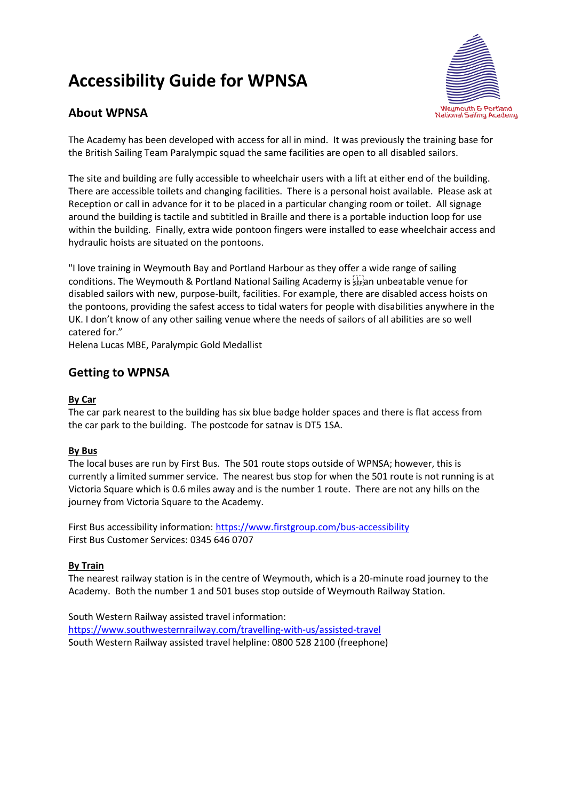# **Accessibility Guide for WPNSA**



## **About WPNSA**

The Academy has been developed with access for all in mind. It was previously the training base for the British Sailing Team Paralympic squad the same facilities are open to all disabled sailors.

The site and building are fully accessible to wheelchair users with a lift at either end of the building. There are accessible toilets and changing facilities. There is a personal hoist available. Please ask at Reception or call in advance for it to be placed in a particular changing room or toilet. All signage around the building is tactile and subtitled in Braille and there is a portable induction loop for use within the building. Finally, extra wide pontoon fingers were installed to ease wheelchair access and hydraulic hoists are situated on the pontoons.

"I love training in Weymouth Bay and Portland Harbour as they offer a wide range of sailing conditions. The Weymouth & Portland National Sailing Academy is step an unbeatable venue for disabled sailors with new, purpose-built, facilities. For example, there are disabled access hoists on the pontoons, providing the safest access to tidal waters for people with disabilities anywhere in the UK. I don't know of any other sailing venue where the needs of sailors of all abilities are so well catered for."

Helena Lucas MBE, Paralympic Gold Medallist

## **Getting to WPNSA**

#### **By Car**

The car park nearest to the building has six blue badge holder spaces and there is flat access from the car park to the building. The postcode for satnav is DT5 1SA.

#### **By Bus**

The local buses are run by First Bus. The 501 route stops outside of WPNSA; however, this is currently a limited summer service. The nearest bus stop for when the 501 route is not running is at Victoria Square which is 0.6 miles away and is the number 1 route. There are not any hills on the journey from Victoria Square to the Academy.

First Bus accessibility information[: https://www.firstgroup.com/bus-accessibility](https://www.firstgroup.com/bus-accessibility) First Bus Customer Services: 0345 646 0707

#### **By Train**

The nearest railway station is in the centre of Weymouth, which is a 20-minute road journey to the Academy. Both the number 1 and 501 buses stop outside of Weymouth Railway Station.

South Western Railway assisted travel information: <https://www.southwesternrailway.com/travelling-with-us/assisted-travel> South Western Railway assisted travel helpline: 0800 528 2100 (freephone)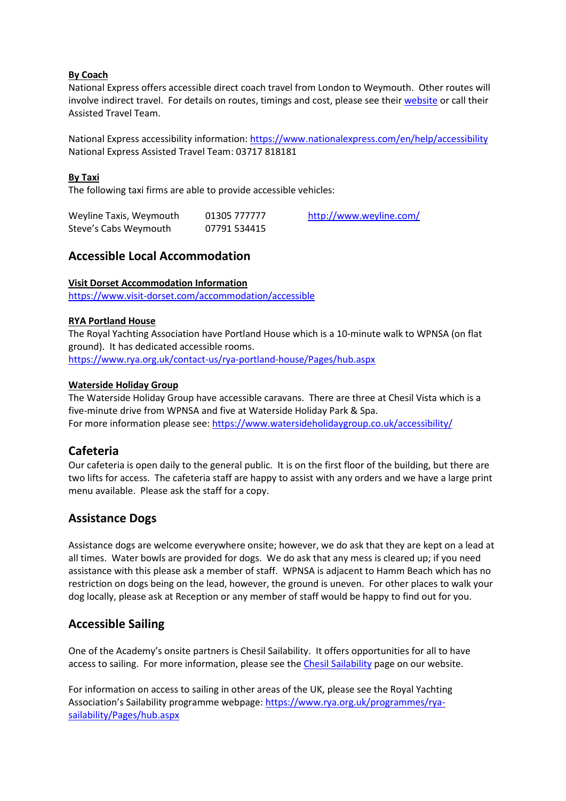#### **By Coach**

National Express offers accessible direct coach travel from London to Weymouth. Other routes will involve indirect travel. For details on routes, timings and cost, please see their [website](https://www.nationalexpress.com/en) or call their Assisted Travel Team.

National Express accessibility information: <https://www.nationalexpress.com/en/help/accessibility> National Express Assisted Travel Team: 03717 818181

#### **By Taxi**

The following taxi firms are able to provide accessible vehicles:

| Weyline Taxis, Weymouth | 01305 777777 | http://www.weyline.com/ |
|-------------------------|--------------|-------------------------|
| Steve's Cabs Weymouth   | 07791 534415 |                         |

## **Accessible Local Accommodation**

#### **Visit Dorset Accommodation Information**

<https://www.visit-dorset.com/accommodation/accessible>

#### **RYA Portland House**

The Royal Yachting Association have Portland House which is a 10-minute walk to WPNSA (on flat ground). It has dedicated accessible rooms. <https://www.rya.org.uk/contact-us/rya-portland-house/Pages/hub.aspx>

#### **Waterside Holiday Group**

The Waterside Holiday Group have accessible caravans. There are three at Chesil Vista which is a five-minute drive from WPNSA and five at Waterside Holiday Park & Spa. For more information please see: <https://www.watersideholidaygroup.co.uk/accessibility/>

## **Cafeteria**

Our cafeteria is open daily to the general public. It is on the first floor of the building, but there are two lifts for access. The cafeteria staff are happy to assist with any orders and we have a large print menu available. Please ask the staff for a copy.

### **Assistance Dogs**

Assistance dogs are welcome everywhere onsite; however, we do ask that they are kept on a lead at all times. Water bowls are provided for dogs. We do ask that any mess is cleared up; if you need assistance with this please ask a member of staff. WPNSA is adjacent to Hamm Beach which has no restriction on dogs being on the lead, however, the ground is uneven. For other places to walk your dog locally, please ask at Reception or any member of staff would be happy to find out for you.

## **Accessible Sailing**

One of the Academy's onsite partners is Chesil Sailability. It offers opportunities for all to have access to sailing. For more information, please see the Chesil [Sailability](https://www.wpnsa.org.uk/chesil-sailability) page on our website.

For information on access to sailing in other areas of the UK, please see the Royal Yachting Association's Sailability programme webpage: [https://www.rya.org.uk/programmes/rya](https://www.rya.org.uk/programmes/rya-sailability/Pages/hub.aspx)[sailability/Pages/hub.aspx](https://www.rya.org.uk/programmes/rya-sailability/Pages/hub.aspx)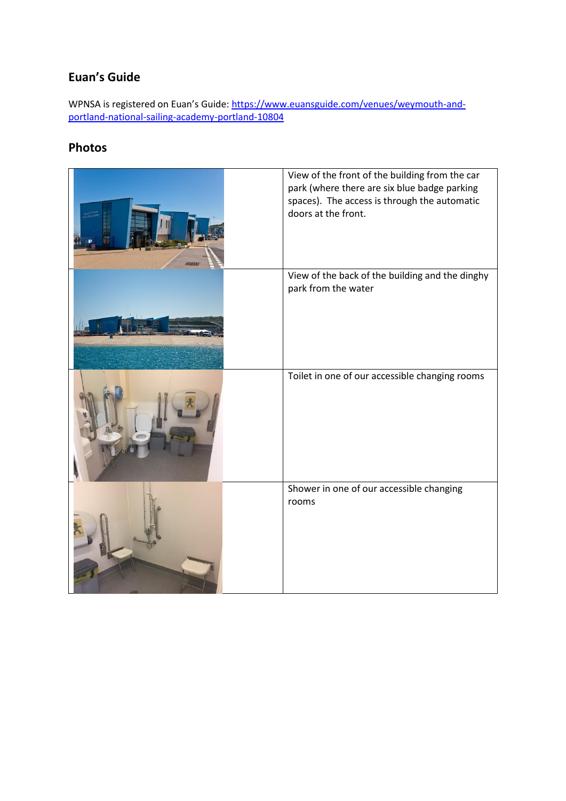## **Euan's Guide**

WPNSA is registered on Euan's Guide: [https://www.euansguide.com/venues/weymouth-and](https://www.euansguide.com/venues/weymouth-and-portland-national-sailing-academy-portland-10804)[portland-national-sailing-academy-portland-10804](https://www.euansguide.com/venues/weymouth-and-portland-national-sailing-academy-portland-10804)

## **Photos**

| View of the front of the building from the car<br>park (where there are six blue badge parking<br>spaces). The access is through the automatic<br>doors at the front. |
|-----------------------------------------------------------------------------------------------------------------------------------------------------------------------|
| View of the back of the building and the dinghy<br>park from the water                                                                                                |
| Toilet in one of our accessible changing rooms                                                                                                                        |
| Shower in one of our accessible changing<br>rooms                                                                                                                     |